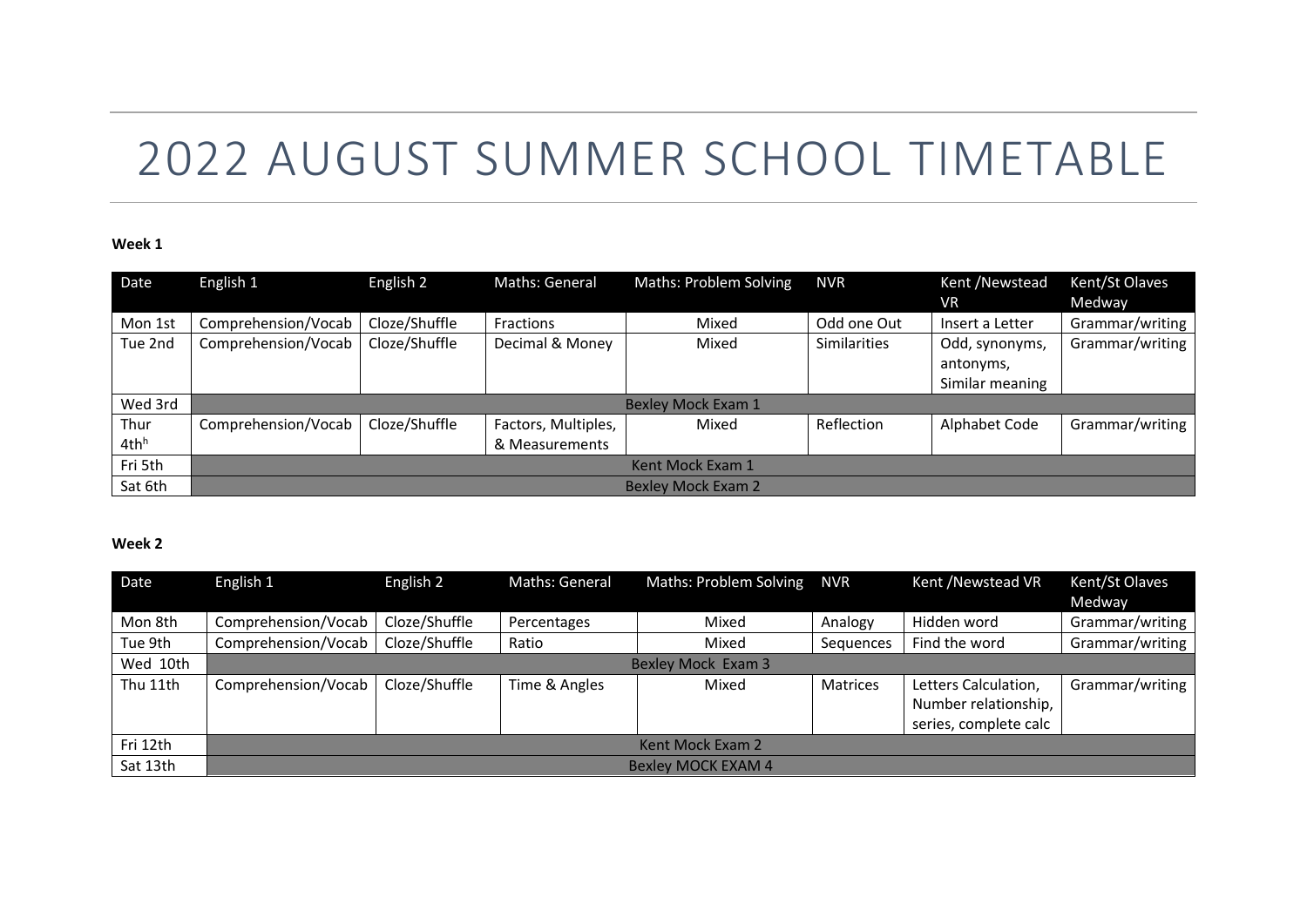# 2022 AUGUST SUMMER SCHOOL TIMETABLE

#### **Week 1**

| Date                     | English 1                 | English 2     | Maths: General                        | <b>Maths: Problem Solving</b> | <b>NVR</b>          | Kent /Newstead<br><b>VR</b>                    | Kent/St Olaves<br>Medway |  |  |
|--------------------------|---------------------------|---------------|---------------------------------------|-------------------------------|---------------------|------------------------------------------------|--------------------------|--|--|
| Mon 1st                  | Comprehension/Vocab       | Cloze/Shuffle | <b>Fractions</b>                      | Mixed                         | Odd one Out         | Insert a Letter                                | Grammar/writing          |  |  |
| Tue 2nd                  | Comprehension/Vocab       | Cloze/Shuffle | Decimal & Money                       | Mixed                         | <b>Similarities</b> | Odd, synonyms,<br>antonyms,<br>Similar meaning | Grammar/writing          |  |  |
| Wed 3rd                  | <b>Bexley Mock Exam 1</b> |               |                                       |                               |                     |                                                |                          |  |  |
| Thur<br>4th <sup>h</sup> | Comprehension/Vocab       | Cloze/Shuffle | Factors, Multiples,<br>& Measurements | Mixed                         | Reflection          | Alphabet Code                                  | Grammar/writing          |  |  |
| Fri 5th                  | Kent Mock Exam 1          |               |                                       |                               |                     |                                                |                          |  |  |
| Sat 6th                  | <b>Bexley Mock Exam 2</b> |               |                                       |                               |                     |                                                |                          |  |  |

### **Week 2**

| Date     | English 1                 | English 2     | Maths: General | Maths: Problem Solving | <b>NVR</b>      | Kent /Newstead VR     | Kent/St Olaves  |  |  |
|----------|---------------------------|---------------|----------------|------------------------|-----------------|-----------------------|-----------------|--|--|
|          |                           |               |                |                        |                 |                       | Medway          |  |  |
| Mon 8th  | Comprehension/Vocab       | Cloze/Shuffle | Percentages    | Mixed                  | Analogy         | Hidden word           | Grammar/writing |  |  |
| Tue 9th  | Comprehension/Vocab       | Cloze/Shuffle | Ratio          | Mixed                  | Sequences       | Find the word         | Grammar/writing |  |  |
| Wed 10th | Bexley Mock Exam 3        |               |                |                        |                 |                       |                 |  |  |
| Thu 11th | Comprehension/Vocab       | Cloze/Shuffle | Time & Angles  | Mixed                  | <b>Matrices</b> | Letters Calculation,  | Grammar/writing |  |  |
|          |                           |               |                |                        |                 | Number relationship,  |                 |  |  |
|          |                           |               |                |                        |                 | series, complete calc |                 |  |  |
| Fri 12th | Kent Mock Exam 2          |               |                |                        |                 |                       |                 |  |  |
| Sat 13th | <b>Bexley MOCK EXAM 4</b> |               |                |                        |                 |                       |                 |  |  |